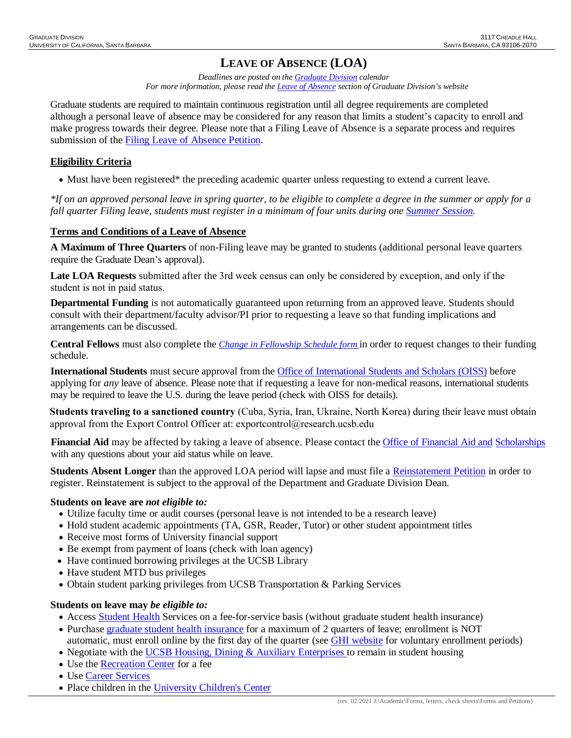# **LEAVE OF ABSENCE (LOA)**

*Deadlines are posted on the [Graduate Division c](http://www.graddiv.ucsb.edu/academic/petition-advancement-filing-deadlines)alendar For more information, please read th[e Leave of Absence](http://www.graddiv.ucsb.edu/academic/forms-petitions/leave-of-absence) section of Graduate Division's website*

Graduate students are required to maintain continuous registration until all degree requirements are completed although a personal leave of absence may be considered for any reason that limits a student's capacity to enroll and make progress towards their degree. Please note that a Filing Leave of Absence is a separate process and requires submission of the Filing Leave of [Absence Petition.](http://www.graddiv.ucsb.edu/academic/forms-petitions/leave-of-absence/filing-leave-of-absence)

### **Eligibility Criteria**

• Must have been registered\* the preceding academic quarter unless requesting to extend a current leave.

*\*If on an approved personal leave in spring quarter, to be eligible to complete a degree in the summer or apply for a fall quarter Filing leave, students must register in a minimum of four units during one [Summer Session.](https://www.summer.ucsb.edu/)* 

#### **Terms and Conditions of a Leave of Absence**

**A Maximum of Three Quarters** of non-Filing leave may be granted to students (additional personal leave quarters require the Graduate Dean's approval).

**Late LOA Requests** submitted after the 3rd week census can only be considered by exception, and only if the student is not in paid status.

**Departmental Funding** is not automatically guaranteed upon returning from an approved leave. Students should consult with their department/faculty advisor/PI prior to requesting a leave so that funding implications and arrangements can be discussed.

**Central Fellows** must also complete the *[Change in Fellowship Schedule](http://graddiv.ucsb.edu/academic/forms-petitions.aspx) form* in order to request changes to their funding schedule.

**International Students** must secure approval from the [Office of International Students and Scholars](https://oiss.ucsb.edu/) (OISS) before applying for *any* leave of absence. Please note that if requesting a leave for non-medical reasons, international students may be required to leave the U.S. during the leave period (check with OISS for details).

**Students traveling to a sanctioned country** (Cuba, Syria, Iran, Ukraine, North Korea) during their leave must obtain approval from the Export Control Officer at: exportcontrol@research.ucsb.edu

**[Financial Aid](https://www.finaid.ucsb.edu/)** may be affected by taking a leave of absence. Please contact the Office of Financial Aid and [Scholarships](https://www.finaid.ucsb.edu/) with any questions about your aid status while on leave.

**Students Absent Longer** than the approved LOA period will lapse and must file a [Reinstatement Petition](http://www.graddiv.ucsb.edu/academic/forms-petitions) in order to register. Reinstatement is subject to the approval of the Department and Graduate Division Dean.

#### **Students on leave are** *not eligible to:*

- Utilize faculty time or audit courses (personal leave is not intended to be a research leave)
- Hold student academic appointments (TA, GSR, Reader, Tutor) or other student appointment titles
- Receive most forms of University financial support
- Be exempt from payment of loans (check with loan agency)
- Have continued borrowing privileges at the UCSB Library
- Have student MTD bus privileges
- Obtain student parking privileges from UCSB Transportation & Parking Services

#### **Students on leave may** *be eligible to:*

- Access [Student Health](https://studenthealth.sa.ucsb.edu/) Services on a fee-for-service basis (without graduate student health insurance)
- Purchase [graduate student health insurance](http://studenthealth.sa.ucsb.edu/GHI.aspx) for a maximum of 2 quarters of leave; enrollment is NOT automatic, must enroll online by the first day of the quarter (see [GHI website](http://studenthealth.sa.ucsb.edu/gaucho-health-insurance) for voluntary enrollment periods)
- Negotiate with the [UCSB Housing, Dining & Auxiliary Enterprises](https://www.housing.ucsb.edu/home) to remain in student housing
- Use the [Recreation Center](http://recreation.sa.ucsb.edu/) for a fee
- Use [Career Services](http://career.sa.ucsb.edu/)
- Place children in the [University Children's Center](http://childrenscenter.sa.ucsb.edu/ContactUs/index.aspx)